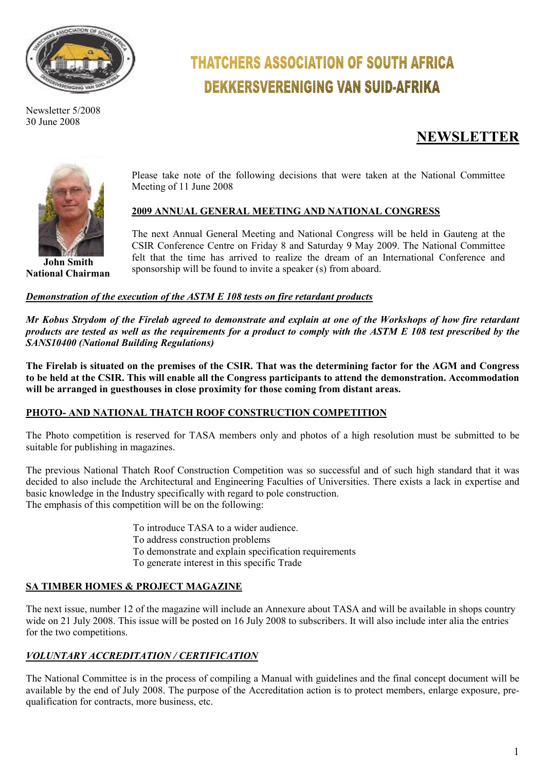

Newsletter 5/2008 30 June 2008

# **THATCHERS ASSOCIATION OF SOUTH AFRICA DEKKERSVERENIGING VAN SUID-AFRIKA**

# **NEWSLETTER**



**John Smith National Chairman**  Please take note of the following decisions that were taken at the National Committee Meeting of 11 June 2008

# **2009 ANNUAL GENERAL MEETING AND NATIONAL CONGRESS**

The next Annual General Meeting and National Congress will be held in Gauteng at the CSIR Conference Centre on Friday 8 and Saturday 9 May 2009. The National Committee felt that the time has arrived to realize the dream of an International Conference and sponsorship will be found to invite a speaker (s) from aboard.

### *Demonstration of the execution of the ASTM E 108 tests on fire retardant products*

*Mr Kobus Strydom of the Firelab agreed to demonstrate and explain at one of the Workshops of how fire retardant products are tested as well as the requirements for a product to comply with the ASTM E 108 test prescribed by the SANS10400 (National Building Regulations)* 

**The Firelab is situated on the premises of the CSIR. That was the determining factor for the AGM and Congress to be held at the CSIR. This will enable all the Congress participants to attend the demonstration. Accommodation will be arranged in guesthouses in close proximity for those coming from distant areas.** 

# **PHOTO- AND NATIONAL THATCH ROOF CONSTRUCTION COMPETITION**

The Photo competition is reserved for TASA members only and photos of a high resolution must be submitted to be suitable for publishing in magazines.

The previous National Thatch Roof Construction Competition was so successful and of such high standard that it was decided to also include the Architectural and Engineering Faculties of Universities. There exists a lack in expertise and basic knowledge in the Industry specifically with regard to pole construction. The emphasis of this competition will be on the following:

> To introduce TASA to a wider audience. To address construction problems To demonstrate and explain specification requirements To generate interest in this specific Trade

# **SA TIMBER HOMES & PROJECT MAGAZINE**

The next issue, number 12 of the magazine will include an Annexure about TASA and will be available in shops country wide on 21 July 2008. This issue will be posted on 16 July 2008 to subscribers. It will also include inter alia the entries for the two competitions.

# *VOLUNTARY ACCREDITATION / CERTIFICATION*

The National Committee is in the process of compiling a Manual with guidelines and the final concept document will be available by the end of July 2008. The purpose of the Accreditation action is to protect members, enlarge exposure, prequalification for contracts, more business, etc.